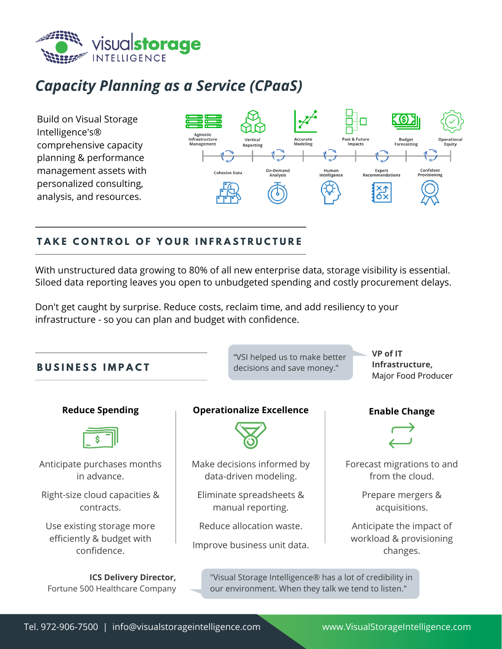

# *Capacity Planning as a Service (CPaaS)*

Build on Visual Storage Intelligence's® comprehensive capacity planning & performance management assets with personalized consulting, analysis, and resources.



## TAKE CONTROL OF YOUR INFRASTRUCTURE

With unstructured data growing to 80% of all new enterprise data, storage visibility is essential. Siloed data reporting leaves you open to unbudgeted spending and costly procurement delays.

Don't get caught by surprise. Reduce costs, reclaim time, and add resiliency to your infrastructure - so you can plan and budget with confidence.

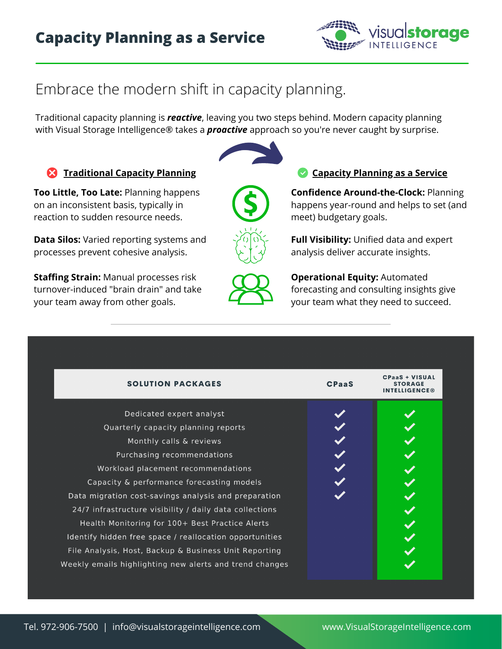

# Embrace the modern shift in capacity planning.

Traditional capacity planning is *reactive*, leaving you two steps behind. Modern capacity planning with Visual Storage Intelligence® takes a *proactive* approach so you're never caught by surprise.

#### **Traditional Capacity Planning Capacity Planning as a Service**

**Too Little, Too Late:** Planning happens on an inconsistent basis, typically in reaction to sudden resource needs.

**Data Silos:** Varied reporting systems and processes prevent cohesive analysis.

**Staffing Strain:** Manual processes risk turnover-induced "brain drain" and take your team away from other goals.



**Confidence Around-the-Clock:** Planning happens year-round and helps to set (and meet) budgetary goals.

**Full Visibility:** Unified data and expert analysis deliver accurate insights.



**Operational Equity:** Automated forecasting and consulting insights give your team what they need to succeed.

| <b>SOLUTION PACKAGES</b>                                | <b>CPaaS</b> | <b>CPaaS + VISUAL</b><br>STORAGE<br><b>INTELLIGENCE®</b> |
|---------------------------------------------------------|--------------|----------------------------------------------------------|
| Dedicated expert analyst                                |              |                                                          |
| Quarterly capacity planning reports                     |              |                                                          |
| Monthly calls & reviews                                 |              |                                                          |
| Purchasing recommendations                              |              |                                                          |
| Workload placement recommendations                      |              |                                                          |
| Capacity & performance forecasting models               |              |                                                          |
| Data migration cost-savings analysis and preparation    |              |                                                          |
| 24/7 infrastructure visibility / daily data collections |              |                                                          |
| Health Monitoring for 100+ Best Practice Alerts         |              |                                                          |
| Identify hidden free space / reallocation opportunities |              |                                                          |
| File Analysis, Host, Backup & Business Unit Reporting   |              |                                                          |
| Weekly emails highlighting new alerts and trend changes |              |                                                          |